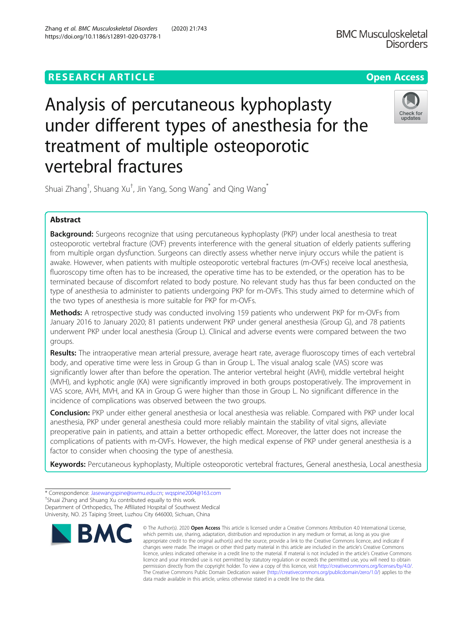# **RESEARCH ARTICLE Example 2014 12:30 The Contract of Contract ACCESS**

# Analysis of percutaneous kyphoplasty under different types of anesthesia for the treatment of multiple osteoporotic vertebral fractures

Shuai Zhang $^\dagger$ , Shuang Xu $^\dagger$ , Jin Yang, Song Wang $^*$  and Qing Wang $^*$ 

# Abstract

Background: Surgeons recognize that using percutaneous kyphoplasty (PKP) under local anesthesia to treat osteoporotic vertebral fracture (OVF) prevents interference with the general situation of elderly patients suffering from multiple organ dysfunction. Surgeons can directly assess whether nerve injury occurs while the patient is awake. However, when patients with multiple osteoporotic vertebral fractures (m-OVFs) receive local anesthesia, fluoroscopy time often has to be increased, the operative time has to be extended, or the operation has to be terminated because of discomfort related to body posture. No relevant study has thus far been conducted on the type of anesthesia to administer to patients undergoing PKP for m-OVFs. This study aimed to determine which of the two types of anesthesia is more suitable for PKP for m-OVFs.

Methods: A retrospective study was conducted involving 159 patients who underwent PKP for m-OVFs from January 2016 to January 2020; 81 patients underwent PKP under general anesthesia (Group G), and 78 patients underwent PKP under local anesthesia (Group L). Clinical and adverse events were compared between the two groups.

Results: The intraoperative mean arterial pressure, average heart rate, average fluoroscopy times of each vertebral body, and operative time were less in Group G than in Group L. The visual analog scale (VAS) score was significantly lower after than before the operation. The anterior vertebral height (AVH), middle vertebral height (MVH), and kyphotic angle (KA) were significantly improved in both groups postoperatively. The improvement in VAS score, AVH, MVH, and KA in Group G were higher than those in Group L. No significant difference in the incidence of complications was observed between the two groups.

**Conclusion:** PKP under either general anesthesia or local anesthesia was reliable. Compared with PKP under local anesthesia, PKP under general anesthesia could more reliably maintain the stability of vital signs, alleviate preoperative pain in patients, and attain a better orthopedic effect. Moreover, the latter does not increase the complications of patients with m-OVFs. However, the high medical expense of PKP under general anesthesia is a factor to consider when choosing the type of anesthesia.

Keywords: Percutaneous kyphoplasty, Multiple osteoporotic vertebral fractures, General anesthesia, Local anesthesia



**BMC Musculoskeletal Disorders** 





<sup>\*</sup> Correspondence: [Jasewangspine@swmu.edu.cn](mailto:Jasewangspine@swmu.edu.cn); [wqspine2004@163.com](mailto:wqspine2004@163.com) † <sup>+</sup>Shuai Zhang and Shuang Xu contributed equally to this work. Department of Orthopedics, The Affiliated Hospital of Southwest Medical University, NO. 25 Taiping Street, Luzhou City 646000, Sichuan, China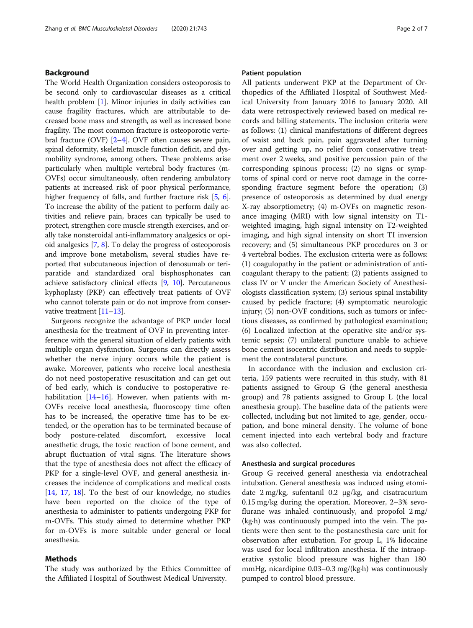# Background

The World Health Organization considers osteoporosis to be second only to cardiovascular diseases as a critical health problem [\[1\]](#page-6-0). Minor injuries in daily activities can cause fragility fractures, which are attributable to decreased bone mass and strength, as well as increased bone fragility. The most common fracture is osteoporotic vertebral fracture (OVF) [[2](#page-6-0)–[4](#page-6-0)]. OVF often causes severe pain, spinal deformity, skeletal muscle function deficit, and dysmobility syndrome, among others. These problems arise particularly when multiple vertebral body fractures (m-OVFs) occur simultaneously, often rendering ambulatory patients at increased risk of poor physical performance, higher frequency of falls, and further fracture risk [[5,](#page-6-0) [6](#page-6-0)]. To increase the ability of the patient to perform daily activities and relieve pain, braces can typically be used to protect, strengthen core muscle strength exercises, and orally take nonsteroidal anti-inflammatory analgesics or opioid analgesics [[7](#page-6-0), [8](#page-6-0)]. To delay the progress of osteoporosis and improve bone metabolism, several studies have reported that subcutaneous injection of denosumab or teriparatide and standardized oral bisphosphonates can achieve satisfactory clinical effects [[9,](#page-6-0) [10\]](#page-6-0). Percutaneous kyphoplasty (PKP) can effectively treat patients of OVF who cannot tolerate pain or do not improve from conser-vative treatment [\[11](#page-6-0)–[13](#page-6-0)].

Surgeons recognize the advantage of PKP under local anesthesia for the treatment of OVF in preventing interference with the general situation of elderly patients with multiple organ dysfunction. Surgeons can directly assess whether the nerve injury occurs while the patient is awake. Moreover, patients who receive local anesthesia do not need postoperative resuscitation and can get out of bed early, which is conducive to postoperative rehabilitation  $[14–16]$  $[14–16]$  $[14–16]$ . However, when patients with m-OVFs receive local anesthesia, fluoroscopy time often has to be increased, the operative time has to be extended, or the operation has to be terminated because of body posture-related discomfort, excessive local anesthetic drugs, the toxic reaction of bone cement, and abrupt fluctuation of vital signs. The literature shows that the type of anesthesia does not affect the efficacy of PKP for a single-level OVF, and general anesthesia increases the incidence of complications and medical costs [[14,](#page-6-0) [17](#page-6-0), [18](#page-6-0)]. To the best of our knowledge, no studies have been reported on the choice of the type of anesthesia to administer to patients undergoing PKP for m-OVFs. This study aimed to determine whether PKP for m-OVFs is more suitable under general or local anesthesia.

# Methods

The study was authorized by the Ethics Committee of the Affiliated Hospital of Southwest Medical University.

## Patient population

All patients underwent PKP at the Department of Orthopedics of the Affiliated Hospital of Southwest Medical University from January 2016 to January 2020. All data were retrospectively reviewed based on medical records and billing statements. The inclusion criteria were as follows: (1) clinical manifestations of different degrees of waist and back pain, pain aggravated after turning over and getting up, no relief from conservative treatment over 2 weeks, and positive percussion pain of the corresponding spinous process; (2) no signs or symptoms of spinal cord or nerve root damage in the corresponding fracture segment before the operation; (3) presence of osteoporosis as determined by dual energy X-ray absorptiometry; (4) m-OVFs on magnetic resonance imaging (MRI) with low signal intensity on T1 weighted imaging, high signal intensity on T2-weighted imaging, and high signal intensity on short TI inversion recovery; and (5) simultaneous PKP procedures on 3 or 4 vertebral bodies. The exclusion criteria were as follows: (1) coagulopathy in the patient or administration of anticoagulant therapy to the patient; (2) patients assigned to class IV or V under the American Society of Anesthesiologists classification system; (3) serious spinal instability caused by pedicle fracture; (4) symptomatic neurologic injury; (5) non-OVF conditions, such as tumors or infectious diseases, as confirmed by pathological examination; (6) Localized infection at the operative site and/or systemic sepsis; (7) unilateral puncture unable to achieve bone cement isocentric distribution and needs to supplement the contralateral puncture.

In accordance with the inclusion and exclusion criteria, 159 patients were recruited in this study, with 81 patients assigned to Group G (the general anesthesia group) and 78 patients assigned to Group L (the local anesthesia group). The baseline data of the patients were collected, including but not limited to age, gender, occupation, and bone mineral density. The volume of bone cement injected into each vertebral body and fracture was also collected.

# Anesthesia and surgical procedures

Group G received general anesthesia via endotracheal intubation. General anesthesia was induced using etomidate 2 mg/kg, sufentanil 0.2 μg/kg, and cisatracurium 0.15 mg/kg during the operation. Moreover, 2–3% sevoflurane was inhaled continuously, and propofol 2 mg/ (kg·h) was continuously pumped into the vein. The patients were then sent to the postanesthesia care unit for observation after extubation. For group L, 1% lidocaine was used for local infiltration anesthesia. If the intraoperative systolic blood pressure was higher than 180 mmHg, nicardipine 0.03–0.3 mg/(kg·h) was continuously pumped to control blood pressure.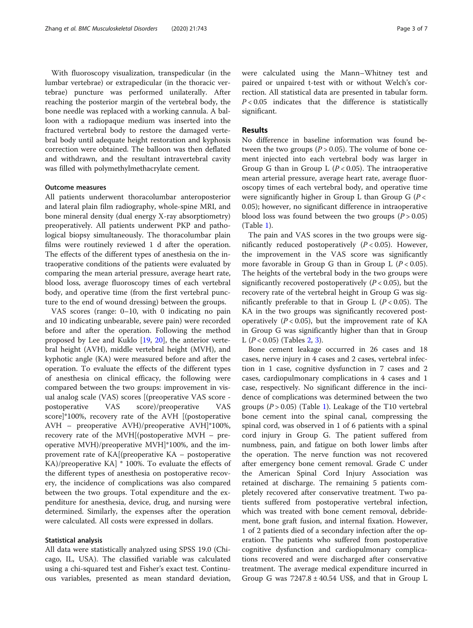With fluoroscopy visualization, transpedicular (in the lumbar vertebrae) or extrapedicular (in the thoracic vertebrae) puncture was performed unilaterally. After reaching the posterior margin of the vertebral body, the bone needle was replaced with a working cannula. A balloon with a radiopaque medium was inserted into the fractured vertebral body to restore the damaged vertebral body until adequate height restoration and kyphosis correction were obtained. The balloon was then deflated and withdrawn, and the resultant intravertebral cavity was filled with polymethylmethacrylate cement.

#### Outcome measures

All patients underwent thoracolumbar anteroposterior and lateral plain film radiography, whole-spine MRI, and bone mineral density (dual energy X-ray absorptiometry) preoperatively. All patients underwent PKP and pathological biopsy simultaneously. The thoracolumbar plain films were routinely reviewed 1 d after the operation. The effects of the different types of anesthesia on the intraoperative conditions of the patients were evaluated by comparing the mean arterial pressure, average heart rate, blood loss, average fluoroscopy times of each vertebral body, and operative time (from the first vertebral puncture to the end of wound dressing) between the groups.

VAS scores (range: 0–10, with 0 indicating no pain and 10 indicating unbearable, severe pain) were recorded before and after the operation. Following the method proposed by Lee and Kuklo [[19](#page-6-0), [20](#page-6-0)], the anterior vertebral height (AVH), middle vertebral height (MVH), and kyphotic angle (KA) were measured before and after the operation. To evaluate the effects of the different types of anesthesia on clinical efficacy, the following were compared between the two groups: improvement in visual analog scale (VAS) scores [(preoperative VAS score postoperative VAS score)/preoperative VAS score]\*100%, recovery rate of the AVH [(postoperative AVH – preoperative AVH)/preoperative AVH]\*100%, recovery rate of the MVH[(postoperative MVH – preoperative MVH)/preoperative MVH]\*100%, and the improvement rate of KA[(preoperative KA – postoperative KA)/preoperative KA] \* 100%. To evaluate the effects of the different types of anesthesia on postoperative recovery, the incidence of complications was also compared between the two groups. Total expenditure and the expenditure for anesthesia, device, drug, and nursing were determined. Similarly, the expenses after the operation were calculated. All costs were expressed in dollars.

## Statistical analysis

All data were statistically analyzed using SPSS 19.0 (Chicago, IL, USA). The classified variable was calculated using a chi-squared test and Fisher's exact test. Continuous variables, presented as mean standard deviation, were calculated using the Mann–Whitney test and paired or unpaired t-test with or without Welch's correction. All statistical data are presented in tabular form.  $P < 0.05$  indicates that the difference is statistically significant.

# Results

No difference in baseline information was found between the two groups ( $P > 0.05$ ). The volume of bone cement injected into each vertebral body was larger in Group G than in Group L ( $P < 0.05$ ). The intraoperative mean arterial pressure, average heart rate, average fluoroscopy times of each vertebral body, and operative time were significantly higher in Group L than Group G ( $P <$ 0.05); however, no significant difference in intraoperative blood loss was found between the two groups  $(P > 0.05)$ (Table [1\)](#page-3-0).

The pain and VAS scores in the two groups were significantly reduced postoperatively  $(P < 0.05)$ . However, the improvement in the VAS score was significantly more favorable in Group G than in Group L  $(P < 0.05)$ . The heights of the vertebral body in the two groups were significantly recovered postoperatively  $(P < 0.05)$ , but the recovery rate of the vertebral height in Group G was significantly preferable to that in Group L  $(P < 0.05)$ . The KA in the two groups was significantly recovered postoperatively  $(P < 0.05)$ , but the improvement rate of KA in Group G was significantly higher than that in Group L  $(P < 0.05)$  (Tables [2,](#page-3-0) [3\)](#page-4-0).

Bone cement leakage occurred in 26 cases and 18 cases, nerve injury in 4 cases and 2 cases, vertebral infection in 1 case, cognitive dysfunction in 7 cases and 2 cases, cardiopulmonary complications in 4 cases and 1 case, respectively. No significant difference in the incidence of complications was determined between the two groups ( $P > 0.05$ ) (Table [1](#page-3-0)). Leakage of the T10 vertebral bone cement into the spinal canal, compressing the spinal cord, was observed in 1 of 6 patients with a spinal cord injury in Group G. The patient suffered from numbness, pain, and fatigue on both lower limbs after the operation. The nerve function was not recovered after emergency bone cement removal. Grade C under the American Spinal Cord Injury Association was retained at discharge. The remaining 5 patients completely recovered after conservative treatment. Two patients suffered from postoperative vertebral infection, which was treated with bone cement removal, debridement, bone graft fusion, and internal fixation. However, 1 of 2 patients died of a secondary infection after the operation. The patients who suffered from postoperative cognitive dysfunction and cardiopulmonary complications recovered and were discharged after conservative treatment. The average medical expenditure incurred in Group G was  $7247.8 \pm 40.54$  US\$, and that in Group L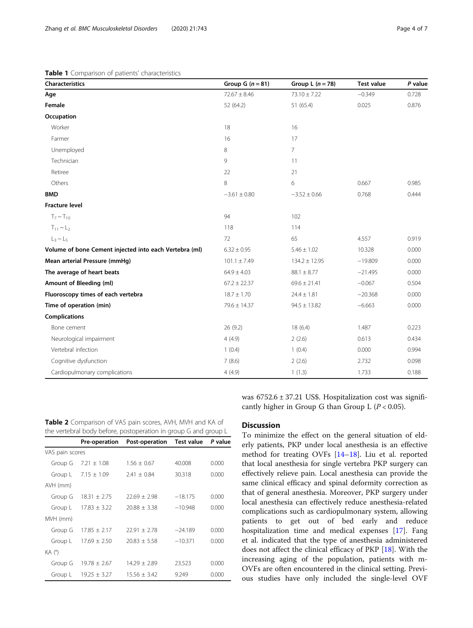# <span id="page-3-0"></span>Table 1 Comparison of patients' characteristics

Complications

| <b>Rable I</b> Companson or patients characteristics   |                  |                    |                   |         |  |  |
|--------------------------------------------------------|------------------|--------------------|-------------------|---------|--|--|
| <b>Characteristics</b>                                 | Group G $(n=81)$ | Group L $(n = 78)$ | <b>Test value</b> | P value |  |  |
| Age                                                    | $72.67 \pm 8.46$ | $73.10 \pm 7.22$   | $-0.349$          | 0.728   |  |  |
| Female                                                 | 52 (64.2)        | 51(65.4)           | 0.025             | 0.876   |  |  |
| Occupation                                             |                  |                    |                   |         |  |  |
| Worker                                                 | 18               | 16                 |                   |         |  |  |
| Farmer                                                 | 16               | 17                 |                   |         |  |  |
| Unemployed                                             | 8                | 7                  |                   |         |  |  |
| Technician                                             | 9                | 11                 |                   |         |  |  |
| Retiree                                                | 22               | 21                 |                   |         |  |  |
| Others                                                 | 8                | 6                  | 0.667             | 0.985   |  |  |
| <b>BMD</b>                                             | $-3.61 \pm 0.80$ | $-3.52 \pm 0.66$   | 0.768             | 0.444   |  |  |
| <b>Fracture level</b>                                  |                  |                    |                   |         |  |  |
| $T_7 \sim T_{10}$                                      | 94               | 102                |                   |         |  |  |
| $T_{11}$ ~ L <sub>2</sub>                              | 118              | 114                |                   |         |  |  |
| $L_3 \sim L_5$                                         | 72               | 65                 | 4.557             | 0.919   |  |  |
| Volume of bone Cement injected into each Vertebra (ml) | $6.32 \pm 0.95$  | $5.46 \pm 1.02$    | 10.328            | 0.000   |  |  |
| Mean arterial Pressure (mmHg)                          | $101.1 \pm 7.49$ | $134.2 \pm 12.95$  | $-19.809$         | 0.000   |  |  |

**The average of heart beats** 64.9 ± 4.03 64.9 ± 4.03 88.1 ± 8.77  $-21.495$  0.000 Amount of Bleeding (ml) 67.2 ± 22.37 69.6 ± 21.41 −0.067 0.504 **Fluoroscopy times of each vertebra** 18.7 ± 1.70  $24.4 \pm 1.81$   $-20.368$  0.000 Time of operation (min) 79.6 ± 14.37 94.5 ± 13.82 −6.663 0.000

Bone cement 26 (9.2) 18 (6.4) 1.487 0.223 Neurological impairment 0.613 0.434 (4.9) 2 (2.6) 0.613 0.434 Vertebral infection 0.994 **1** (0.4) 1 (0.4) 1 (0.4) 0.000 0.994 Cognitive dysfunction 7 (8.6) 2 (2.6) 2.732 0.098 Cardiopulmonary complications (and the complications 4 (4.9) 1.733 1.733 0.188

| Table 2 Comparison of VAS pain scores, AVH, MVH and KA of       |  |
|-----------------------------------------------------------------|--|
| the vertebral body before, postoperation in group G and group L |  |

|                 | <b>Pre-operation</b> | Post-operation | <b>Test value</b> | P value |
|-----------------|----------------------|----------------|-------------------|---------|
| VAS pain scores |                      |                |                   |         |
| Group G         | $7.21 \pm 1.08$      | $1.56 + 0.67$  | 40.008            | 0.000   |
| Group L         | $7.15 \pm 1.09$      | $2.41 + 0.84$  | 30.318            | 0.000   |
| AVH (mm)        |                      |                |                   |         |
| Group G         | $18.31 \pm 2.75$     | $72.69 + 2.98$ | $-18.175$         | 0.000   |
| Group L         | $17.83 \pm 3.22$     | $20.88 + 3.38$ | $-10.948$         | 0.000   |
| MVH (mm)        |                      |                |                   |         |
| Group G         | $17.85 + 2.17$       | $22.91 + 2.78$ | $-24.189$         | 0.000   |
| Group L         | $17.69 + 2.50$       | $20.83 + 5.58$ | $-10.371$         | 0.000   |
| KA $(^\circ)$   |                      |                |                   |         |
| Group G         | $19.78 + 2.67$       | $14.29 + 2.89$ | 23.523            | 0.000   |
| Group L         | $19.25 + 3.27$       | $15.56 + 3.42$ | 9.249             | 0.000   |

was 6752.6 ± 37.21 US\$. Hospitalization cost was significantly higher in Group G than Group L  $(P < 0.05)$ .

# Discussion

To minimize the effect on the general situation of elderly patients, PKP under local anesthesia is an effective method for treating OVFs [\[14](#page-6-0)–[18\]](#page-6-0). Liu et al. reported that local anesthesia for single vertebra PKP surgery can effectively relieve pain. Local anesthesia can provide the same clinical efficacy and spinal deformity correction as that of general anesthesia. Moreover, PKP surgery under local anesthesia can effectively reduce anesthesia-related complications such as cardiopulmonary system, allowing patients to get out of bed early and reduce hospitalization time and medical expenses [[17\]](#page-6-0). Fang et al. indicated that the type of anesthesia administered does not affect the clinical efficacy of PKP [[18](#page-6-0)]. With the increasing aging of the population, patients with m-OVFs are often encountered in the clinical setting. Previous studies have only included the single-level OVF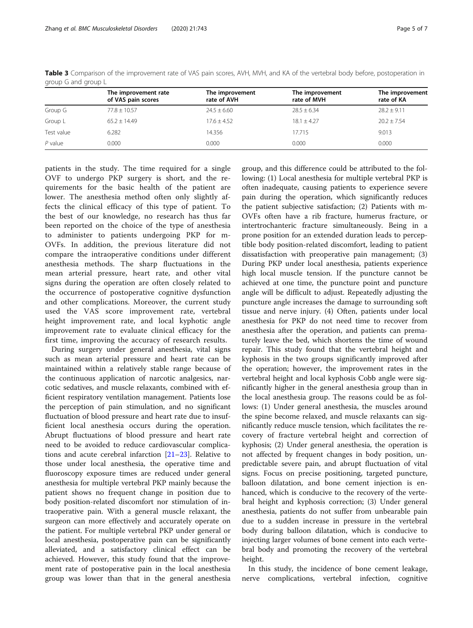|            | The improvement rate<br>of VAS pain scores | The improvement<br>rate of AVH | The improvement<br>rate of MVH | The improvement<br>rate of KA |
|------------|--------------------------------------------|--------------------------------|--------------------------------|-------------------------------|
| Group G    | $77.8 \pm 10.57$                           | $24.5 \pm 6.60$                | $28.5 \pm 6.34$                | $28.2 \pm 9.11$               |
| Group L    | $65.2 + 14.49$                             | $17.6 \pm 4.52$                | $18.1 + 4.27$                  | $20.2 + 7.54$                 |
| Test value | 6.282                                      | 14.356                         | 17.715                         | 9.013                         |
| $P$ value  | 0.000                                      | 0.000                          | 0.000                          | 0.000                         |

<span id="page-4-0"></span>Table 3 Comparison of the improvement rate of VAS pain scores, AVH, MVH, and KA of the vertebral body before, postoperation in group G and group L

patients in the study. The time required for a single OVF to undergo PKP surgery is short, and the requirements for the basic health of the patient are lower. The anesthesia method often only slightly affects the clinical efficacy of this type of patient. To the best of our knowledge, no research has thus far been reported on the choice of the type of anesthesia to administer to patients undergoing PKP for m-OVFs. In addition, the previous literature did not compare the intraoperative conditions under different anesthesia methods. The sharp fluctuations in the mean arterial pressure, heart rate, and other vital signs during the operation are often closely related to the occurrence of postoperative cognitive dysfunction and other complications. Moreover, the current study used the VAS score improvement rate, vertebral height improvement rate, and local kyphotic angle improvement rate to evaluate clinical efficacy for the first time, improving the accuracy of research results.

During surgery under general anesthesia, vital signs such as mean arterial pressure and heart rate can be maintained within a relatively stable range because of the continuous application of narcotic analgesics, narcotic sedatives, and muscle relaxants, combined with efficient respiratory ventilation management. Patients lose the perception of pain stimulation, and no significant fluctuation of blood pressure and heart rate due to insufficient local anesthesia occurs during the operation. Abrupt fluctuations of blood pressure and heart rate need to be avoided to reduce cardiovascular complications and acute cerebral infarction [[21](#page-6-0)–[23](#page-6-0)]. Relative to those under local anesthesia, the operative time and fluoroscopy exposure times are reduced under general anesthesia for multiple vertebral PKP mainly because the patient shows no frequent change in position due to body position-related discomfort nor stimulation of intraoperative pain. With a general muscle relaxant, the surgeon can more effectively and accurately operate on the patient. For multiple vertebral PKP under general or local anesthesia, postoperative pain can be significantly alleviated, and a satisfactory clinical effect can be achieved. However, this study found that the improvement rate of postoperative pain in the local anesthesia group was lower than that in the general anesthesia

group, and this difference could be attributed to the following: (1) Local anesthesia for multiple vertebral PKP is often inadequate, causing patients to experience severe pain during the operation, which significantly reduces the patient subjective satisfaction; (2) Patients with m-OVFs often have a rib fracture, humerus fracture, or intertrochanteric fracture simultaneously. Being in a prone position for an extended duration leads to perceptible body position-related discomfort, leading to patient dissatisfaction with preoperative pain management; (3) During PKP under local anesthesia, patients experience high local muscle tension. If the puncture cannot be achieved at one time, the puncture point and puncture angle will be difficult to adjust. Repeatedly adjusting the puncture angle increases the damage to surrounding soft tissue and nerve injury. (4) Often, patients under local anesthesia for PKP do not need time to recover from anesthesia after the operation, and patients can prematurely leave the bed, which shortens the time of wound repair. This study found that the vertebral height and kyphosis in the two groups significantly improved after the operation; however, the improvement rates in the vertebral height and local kyphosis Cobb angle were significantly higher in the general anesthesia group than in the local anesthesia group. The reasons could be as follows: (1) Under general anesthesia, the muscles around the spine become relaxed, and muscle relaxants can significantly reduce muscle tension, which facilitates the recovery of fracture vertebral height and correction of kyphosis; (2) Under general anesthesia, the operation is not affected by frequent changes in body position, unpredictable severe pain, and abrupt fluctuation of vital signs. Focus on precise positioning, targeted puncture, balloon dilatation, and bone cement injection is enhanced, which is conducive to the recovery of the vertebral height and kyphosis correction; (3) Under general anesthesia, patients do not suffer from unbearable pain due to a sudden increase in pressure in the vertebral body during balloon dilatation, which is conducive to injecting larger volumes of bone cement into each vertebral body and promoting the recovery of the vertebral height.

In this study, the incidence of bone cement leakage, nerve complications, vertebral infection, cognitive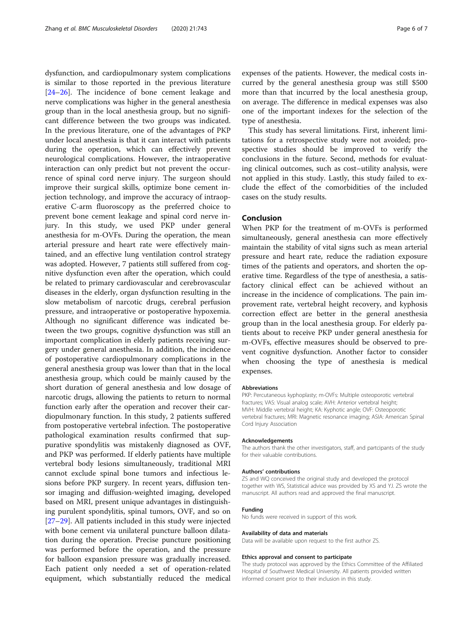dysfunction, and cardiopulmonary system complications is similar to those reported in the previous literature [[24](#page-6-0)–[26](#page-6-0)]. The incidence of bone cement leakage and nerve complications was higher in the general anesthesia group than in the local anesthesia group, but no significant difference between the two groups was indicated. In the previous literature, one of the advantages of PKP under local anesthesia is that it can interact with patients during the operation, which can effectively prevent neurological complications. However, the intraoperative interaction can only predict but not prevent the occurrence of spinal cord nerve injury. The surgeon should improve their surgical skills, optimize bone cement injection technology, and improve the accuracy of intraoperative C-arm fluoroscopy as the preferred choice to prevent bone cement leakage and spinal cord nerve injury. In this study, we used PKP under general anesthesia for m-OVFs. During the operation, the mean arterial pressure and heart rate were effectively maintained, and an effective lung ventilation control strategy was adopted. However, 7 patients still suffered from cognitive dysfunction even after the operation, which could be related to primary cardiovascular and cerebrovascular diseases in the elderly, organ dysfunction resulting in the slow metabolism of narcotic drugs, cerebral perfusion pressure, and intraoperative or postoperative hypoxemia. Although no significant difference was indicated between the two groups, cognitive dysfunction was still an important complication in elderly patients receiving surgery under general anesthesia. In addition, the incidence of postoperative cardiopulmonary complications in the general anesthesia group was lower than that in the local anesthesia group, which could be mainly caused by the short duration of general anesthesia and low dosage of narcotic drugs, allowing the patients to return to normal function early after the operation and recover their cardiopulmonary function. In this study, 2 patients suffered from postoperative vertebral infection. The postoperative pathological examination results confirmed that suppurative spondylitis was mistakenly diagnosed as OVF, and PKP was performed. If elderly patients have multiple vertebral body lesions simultaneously, traditional MRI cannot exclude spinal bone tumors and infectious lesions before PKP surgery. In recent years, diffusion tensor imaging and diffusion-weighted imaging, developed based on MRI, present unique advantages in distinguishing purulent spondylitis, spinal tumors, OVF, and so on [[27](#page-6-0)–[29](#page-6-0)]. All patients included in this study were injected with bone cement via unilateral puncture balloon dilatation during the operation. Precise puncture positioning was performed before the operation, and the pressure for balloon expansion pressure was gradually increased. Each patient only needed a set of operation-related equipment, which substantially reduced the medical

expenses of the patients. However, the medical costs incurred by the general anesthesia group was still \$500 more than that incurred by the local anesthesia group, on average. The difference in medical expenses was also one of the important indexes for the selection of the type of anesthesia.

This study has several limitations. First, inherent limitations for a retrospective study were not avoided; prospective studies should be improved to verify the conclusions in the future. Second, methods for evaluating clinical outcomes, such as cost–utility analysis, were not applied in this study. Lastly, this study failed to exclude the effect of the comorbidities of the included cases on the study results.

# Conclusion

When PKP for the treatment of m-OVFs is performed simultaneously, general anesthesia can more effectively maintain the stability of vital signs such as mean arterial pressure and heart rate, reduce the radiation exposure times of the patients and operators, and shorten the operative time. Regardless of the type of anesthesia, a satisfactory clinical effect can be achieved without an increase in the incidence of complications. The pain improvement rate, vertebral height recovery, and kyphosis correction effect are better in the general anesthesia group than in the local anesthesia group. For elderly patients about to receive PKP under general anesthesia for m-OVFs, effective measures should be observed to prevent cognitive dysfunction. Another factor to consider when choosing the type of anesthesia is medical expenses.

#### **Abbreviations**

PKP: Percutaneous kyphoplasty; m-OVFs: Multiple osteoporotic vertebral fractures; VAS: Visual analog scale; AVH: Anterior vertebral height; MVH: Middle vertebral height; KA: Kyphotic angle; OVF: Osteoporotic vertebral fractures; MRI: Magnetic resonance imaging; ASIA: American Spinal Cord Injury Association

#### Acknowledgements

The authors thank the other investigators, staff, and partcipants of the study for their valuable contributions.

#### Authors' contributions

ZS and WQ conceived the original study and developed the protocol together with WS, Statistical advice was provided by XS and YJ. ZS wrote the manuscript. All authors read and approved the final manuscript.

#### Funding

No funds were received in support of this work.

#### Availability of data and materials

Data will be available upon request to the first author ZS.

#### Ethics approval and consent to participate

The study protocol was approved by the Ethics Committee of the Affiliated Hospital of Southwest Medical University. All patients provided written informed consent prior to their inclusion in this study.